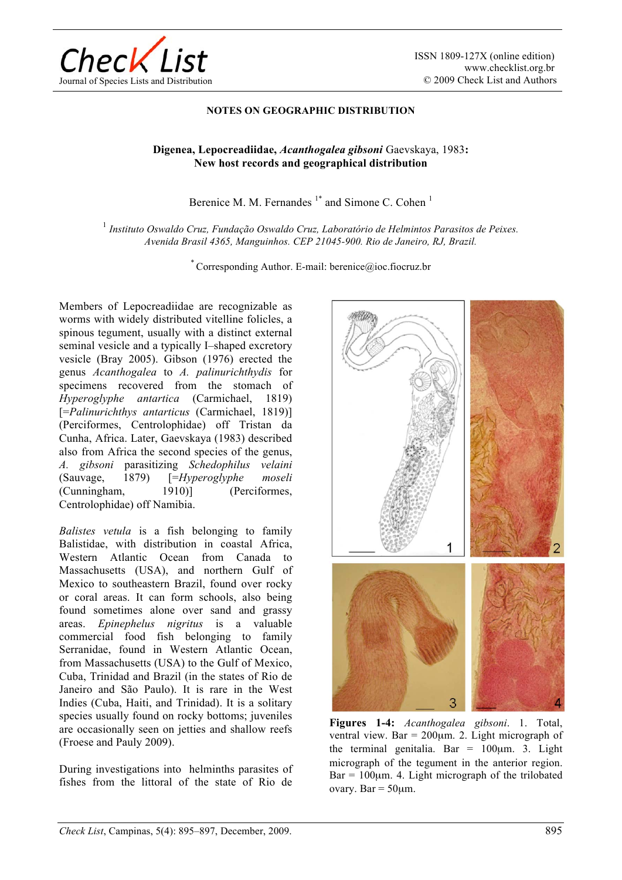

ISSN 1809-127X (online edition) www.checklist.org.br © 2009 Check List and Authors

## **NOTES ON GEOGRAPHIC DISTRIBUTION**

## **Digenea, Lepocreadiidae,** *Acanthogalea gibsoni* Gaevskaya, 1983**: New host records and geographical distribution**

Berenice M. M. Fernandes  $1^*$  and Simone C. Cohen  $1^*$ 

<sup>1</sup> *Instituto Oswaldo Cruz, Fundação Oswaldo Cruz, Laboratório de Helmintos Parasitos de Peixes. Avenida Brasil 4365, Manguinhos. CEP 21045-900. Rio de Janeiro, RJ, Brazil.* 

\* Corresponding Author. E-mail: berenice@ioc.fiocruz.br

Members of Lepocreadiidae are recognizable as worms with widely distributed vitelline folicles, a spinous tegument, usually with a distinct external seminal vesicle and a typically I–shaped excretory vesicle (Bray 2005). Gibson (1976) erected the genus *Acanthogalea* to *A. palinurichthydis* for specimens recovered from the stomach of *Hyperoglyphe antartica* (Carmichael, 1819) [=*Palinurichthys antarticus* (Carmichael, 1819)] (Perciformes, Centrolophidae) off Tristan da Cunha, Africa. Later, Gaevskaya (1983) described also from Africa the second species of the genus, *A. gibsoni* parasitizing *Schedophilus velaini*  (Sauvage, 1879) [=*Hyperoglyphe moseli* (Cunningham, 1910)] (Perciformes, Centrolophidae) off Namibia.

*Balistes vetula* is a fish belonging to family Balistidae, with distribution in coastal Africa, Western Atlantic Ocean from Canada to Massachusetts (USA), and northern Gulf of Mexico to southeastern Brazil, found over rocky or coral areas. It can form schools, also being found sometimes alone over sand and grassy areas. *Epinephelus nigritus* is a valuable commercial food fish belonging to family Serranidae, found in Western Atlantic Ocean, from Massachusetts (USA) to the Gulf of Mexico, Cuba, Trinidad and Brazil (in the states of Rio de Janeiro and São Paulo). It is rare in the West Indies (Cuba, Haiti, and Trinidad). It is a solitary species usually found on rocky bottoms; juveniles are occasionally seen on jetties and shallow reefs (Froese and Pauly 2009).

During investigations into helminths parasites of fishes from the littoral of the state of Rio de



**Figures 1-4:** *Acanthogalea gibsoni*. 1. Total, ventral view. Bar =  $200 \mu m$ . 2. Light micrograph of the terminal genitalia. Bar =  $100 \mu m$ . 3. Light micrograph of the tegument in the anterior region.  $Bar = 100 \mu m$ . 4. Light micrograph of the trilobated ovary. Bar =  $50 \mu m$ .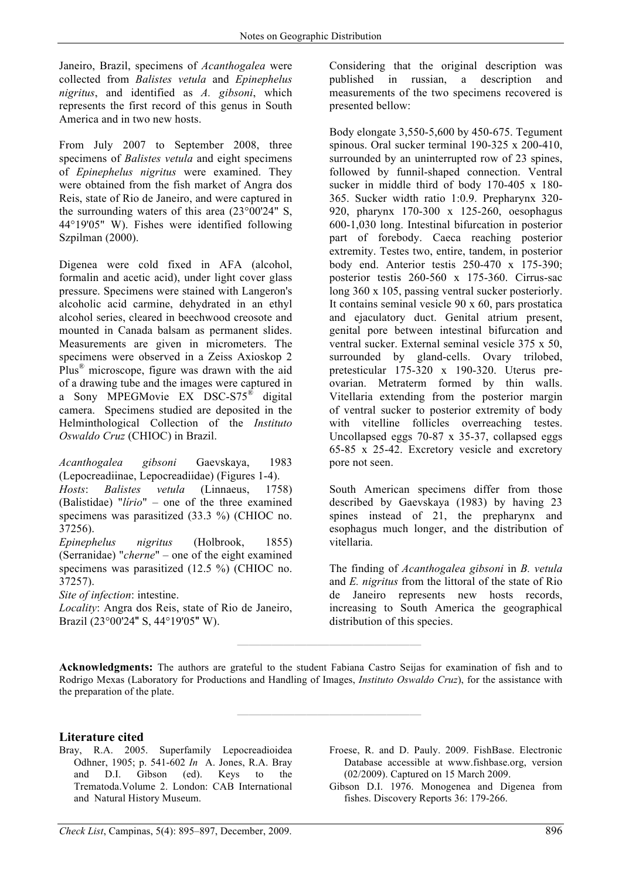Janeiro, Brazil, specimens of *Acanthogalea* were collected from *Balistes vetula* and *Epinephelus nigritus*, and identified as *A. gibsoni*, which represents the first record of this genus in South America and in two new hosts.

From July 2007 to September 2008, three specimens of *Balistes vetula* and eight specimens of *Epinephelus nigritus* were examined. They were obtained from the fish market of Angra dos Reis, state of Rio de Janeiro, and were captured in the surrounding waters of this area (23°00'24" S, 44°19'05" W). Fishes were identified following Szpilman (2000).

Digenea were cold fixed in AFA (alcohol, formalin and acetic acid), under light cover glass pressure. Specimens were stained with Langeron's alcoholic acid carmine, dehydrated in an ethyl alcohol series, cleared in beechwood creosote and mounted in Canada balsam as permanent slides. Measurements are given in micrometers. The specimens were observed in a Zeiss Axioskop 2 Plus® microscope, figure was drawn with the aid of a drawing tube and the images were captured in a Sony MPEGMovie EX DSC-S75® digital camera. Specimens studied are deposited in the Helminthological Collection of the *Instituto Oswaldo Cruz* (CHIOC) in Brazil.

*Acanthogalea gibsoni* Gaevskaya, 1983 (Lepocreadiinae, Lepocreadiidae) (Figures 1-4). *Hosts*: *Balistes vetula* (Linnaeus, 1758) (Balistidae) "*lírio*" – one of the three examined specimens was parasitized (33.3 %) (CHIOC no. 37256).

*Epinephelus nigritus* (Holbrook, 1855) (Serranidae) "*cherne*" – one of the eight examined specimens was parasitized (12.5 %) (CHIOC no. 37257).

*Site of infection*: intestine.

*Locality*: Angra dos Reis, state of Rio de Janeiro, Brazil (23°00'24" S, 44°19'05" W).

Considering that the original description was published in russian, a description and measurements of the two specimens recovered is presented bellow:

Body elongate 3,550-5,600 by 450-675. Tegument spinous. Oral sucker terminal 190-325 x 200-410, surrounded by an uninterrupted row of 23 spines, followed by funnil-shaped connection. Ventral sucker in middle third of body 170-405 x 180- 365. Sucker width ratio 1:0.9. Prepharynx 320- 920, pharynx 170-300 x 125-260, oesophagus 600-1,030 long. Intestinal bifurcation in posterior part of forebody. Caeca reaching posterior extremity. Testes two, entire, tandem, in posterior body end. Anterior testis 250-470 x 175-390; posterior testis 260-560 x 175-360. Cirrus-sac long 360 x 105, passing ventral sucker posteriorly. It contains seminal vesicle 90 x 60, pars prostatica and ejaculatory duct. Genital atrium present, genital pore between intestinal bifurcation and ventral sucker. External seminal vesicle 375 x 50, surrounded by gland-cells. Ovary trilobed, pretesticular 175-320 x 190-320. Uterus preovarian. Metraterm formed by thin walls. Vitellaria extending from the posterior margin of ventral sucker to posterior extremity of body with vitelline follicles overreaching testes. Uncollapsed eggs 70-87 x 35-37, collapsed eggs 65-85 x 25-42. Excretory vesicle and excretory pore not seen.

South American specimens differ from those described by Gaevskaya (1983) by having 23 spines instead of 21, the prepharynx and esophagus much longer, and the distribution of vitellaria.

The finding of *Acanthogalea gibsoni* in *B. vetula*  and *E. nigritus* from the littoral of the state of Rio de Janeiro represents new hosts records, increasing to South America the geographical distribution of this species.

**Acknowledgments:** The authors are grateful to the student Fabiana Castro Seijas for examination of fish and to Rodrigo Mexas (Laboratory for Productions and Handling of Images, *Instituto Oswaldo Cruz*), for the assistance with the preparation of the plate.

**————————————————** 

**————————————————** 

## **Literature cited**

- Bray, R.A. 2005. Superfamily Lepocreadioidea Odhner, 1905; p. 541-602 *In* A. Jones, R.A. Bray and D.I. Gibson (ed). Keys to the Trematoda.Volume 2. London: CAB International and Natural History Museum.
- Froese, R. and D. Pauly. 2009. FishBase. Electronic Database accessible at www.fishbase.org, version (02/2009). Captured on 15 March 2009.
- Gibson D.I. 1976. Monogenea and Digenea from fishes. Discovery Reports 36: 179-266.